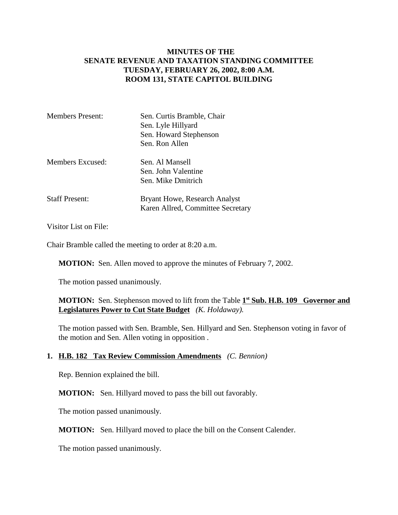## **MINUTES OF THE SENATE REVENUE AND TAXATION STANDING COMMITTEE TUESDAY, FEBRUARY 26, 2002, 8:00 A.M. ROOM 131, STATE CAPITOL BUILDING**

| <b>Members Present:</b> | Sen. Curtis Bramble, Chair                                                |
|-------------------------|---------------------------------------------------------------------------|
|                         | Sen. Lyle Hillyard                                                        |
|                         | Sen. Howard Stephenson                                                    |
|                         | Sen. Ron Allen                                                            |
| Members Excused:        | Sen. Al Mansell                                                           |
|                         | Sen. John Valentine                                                       |
|                         | Sen. Mike Dmitrich                                                        |
| <b>Staff Present:</b>   | <b>Bryant Howe, Research Analyst</b><br>Karen Allred, Committee Secretary |

Visitor List on File:

Chair Bramble called the meeting to order at 8:20 a.m.

**MOTION:** Sen. Allen moved to approve the minutes of February 7, 2002.

The motion passed unanimously.

**MOTION:** Sen. Stephenson moved to lift from the Table 1<sup>st</sup> Sub. H.B. 109 Governor and **Legislatures Power to Cut State Budget** *(K. Holdaway).*

The motion passed with Sen. Bramble, Sen. Hillyard and Sen. Stephenson voting in favor of the motion and Sen. Allen voting in opposition .

## **1. H.B. 182 Tax Review Commission Amendments** *(C. Bennion)*

Rep. Bennion explained the bill.

**MOTION:** Sen. Hillyard moved to pass the bill out favorably.

The motion passed unanimously.

**MOTION:** Sen. Hillyard moved to place the bill on the Consent Calender.

The motion passed unanimously.